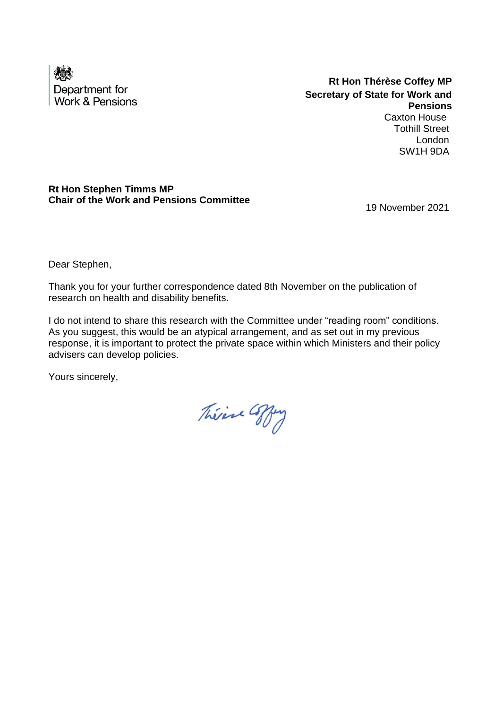

**Rt Hon Thérèse Coffey MP Secretary of State for Work and Pensions** Caxton House Tothill Street

London SW1H 9DA

## **Rt Hon Stephen Timms MP Chair of the Work and Pensions Committee**

19 November 2021

Dear Stephen,

Thank you for your further correspondence dated 8th November on the publication of research on health and disability benefits.

I do not intend to share this research with the Committee under "reading room" conditions. As you suggest, this would be an atypical arrangement, and as set out in my previous response, it is important to protect the private space within which Ministers and their policy advisers can develop policies.

Théine Coffey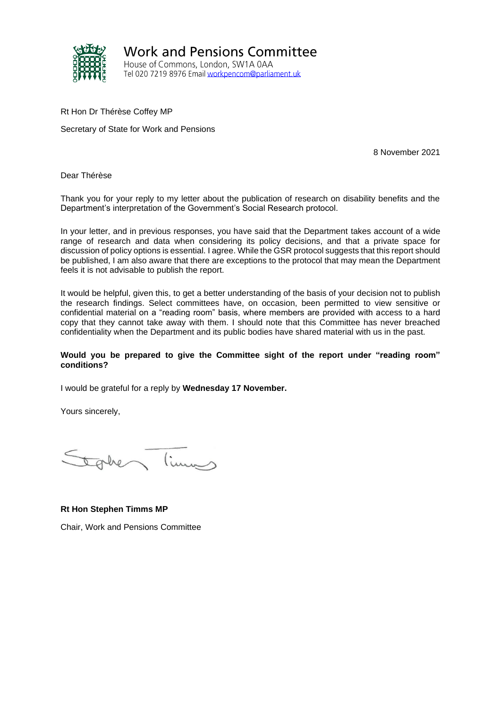

**Work and Pensions Committee** House of Commons, London, SW1A 0AA Tel 020 7219 8976 Email workpencom@parliament.uk

Rt Hon Dr Thérèse Coffey MP

Secretary of State for Work and Pensions

8 November 2021

Dear Thérèse

Thank you for your reply to my letter about the publication of research on disability benefits and the Department's interpretation of the Government's Social Research protocol.

In your letter, and in previous responses, you have said that the Department takes account of a wide range of research and data when considering its policy decisions, and that a private space for discussion of policy options is essential. I agree. While the GSR protocol suggests that this report should be published, I am also aware that there are exceptions to the protocol that may mean the Department feels it is not advisable to publish the report.

It would be helpful, given this, to get a better understanding of the basis of your decision not to publish the research findings. Select committees have, on occasion, been permitted to view sensitive or confidential material on a "reading room" basis, where members are provided with access to a hard copy that they cannot take away with them. I should note that this Committee has never breached confidentiality when the Department and its public bodies have shared material with us in the past.

#### **Would you be prepared to give the Committee sight of the report under "reading room" conditions?**

I would be grateful for a reply by **Wednesday 17 November.** 

Yours sincerely,

limas take

**Rt Hon Stephen Timms MP**

Chair, Work and Pensions Committee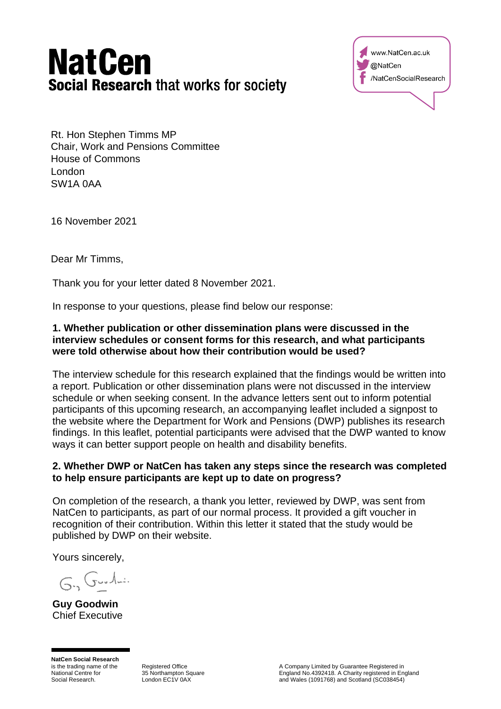# **NatCen Social Research that works for society**



Rt. Hon Stephen Timms MP Chair, Work and Pensions Committee House of Commons London SW1A 0AA

16 November 2021

Dear Mr Timms,

Thank you for your letter dated 8 November 2021.

In response to your questions, please find below our response:

## **1. Whether publication or other dissemination plans were discussed in the interview schedules or consent forms for this research, and what participants were told otherwise about how their contribution would be used?**

The interview schedule for this research explained that the findings would be written into a report. Publication or other dissemination plans were not discussed in the interview schedule or when seeking consent. In the advance letters sent out to inform potential participants of this upcoming research, an accompanying leaflet included a signpost to the website where the Department for Work and Pensions (DWP) publishes its research findings. In this leaflet, potential participants were advised that the DWP wanted to know ways it can better support people on health and disability benefits.

## **2. Whether DWP or NatCen has taken any steps since the research was completed to help ensure participants are kept up to date on progress?**

On completion of the research, a thank you letter, reviewed by DWP, was sent from NatCen to participants, as part of our normal process. It provided a gift voucher in recognition of their contribution. Within this letter it stated that the study would be published by DWP on their website.

Yours sincerely,

 $G_{11}G_{22}A_{22}$ 

**Guy Goodwin** Chief Executive

**NatCen Social Research** is the trading name of the National Centre for Social Research.

Registered Office 35 Northampton Square London EC1V 0AX

A Company Limited by Guarantee Registered in England No.4392418. A Charity registered in England and Wales (1091768) and Scotland (SC038454)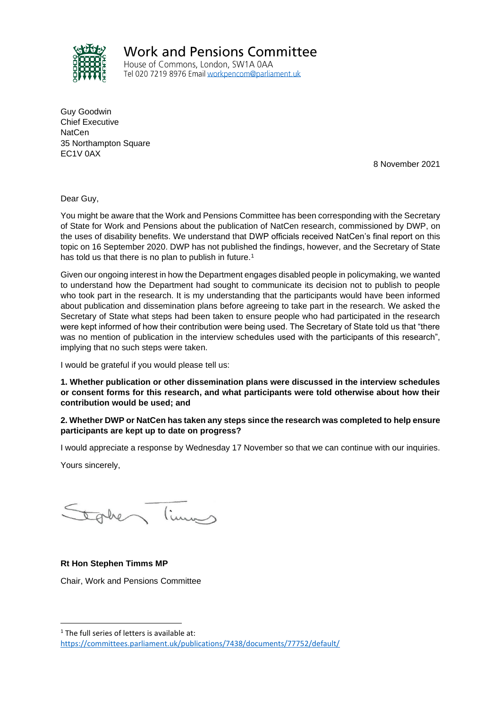

**Work and Pensions Committee** 

House of Commons, London, SW1A 0AA Tel 020 7219 8976 Email workpencom@parliament.uk

Guy Goodwin Chief Executive **NatCen** 35 Northampton Square EC1V 0AX

8 November 2021

Dear Guy,

You might be aware that the Work and Pensions Committee has been corresponding with the Secretary of State for Work and Pensions about the publication of NatCen research, commissioned by DWP, on the uses of disability benefits. We understand that DWP officials received NatCen's final report on this topic on 16 September 2020. DWP has not published the findings, however, and the Secretary of State has told us that there is no plan to publish in future.<sup>1</sup>

Given our ongoing interest in how the Department engages disabled people in policymaking, we wanted to understand how the Department had sought to communicate its decision not to publish to people who took part in the research. It is my understanding that the participants would have been informed about publication and dissemination plans before agreeing to take part in the research. We asked the Secretary of State what steps had been taken to ensure people who had participated in the research were kept informed of how their contribution were being used. The Secretary of State told us that "there was no mention of publication in the interview schedules used with the participants of this research", implying that no such steps were taken.

I would be grateful if you would please tell us:

**1. Whether publication or other dissemination plans were discussed in the interview schedules or consent forms for this research, and what participants were told otherwise about how their contribution would be used; and**

#### **2. Whether DWP or NatCen has taken any steps since the research was completed to help ensure participants are kept up to date on progress?**

I would appreciate a response by Wednesday 17 November so that we can continue with our inquiries.

Yours sincerely,

take limes

#### **Rt Hon Stephen Timms MP**

Chair, Work and Pensions Committee

<sup>&</sup>lt;sup>1</sup> The full series of letters is available at: <https://committees.parliament.uk/publications/7438/documents/77752/default/>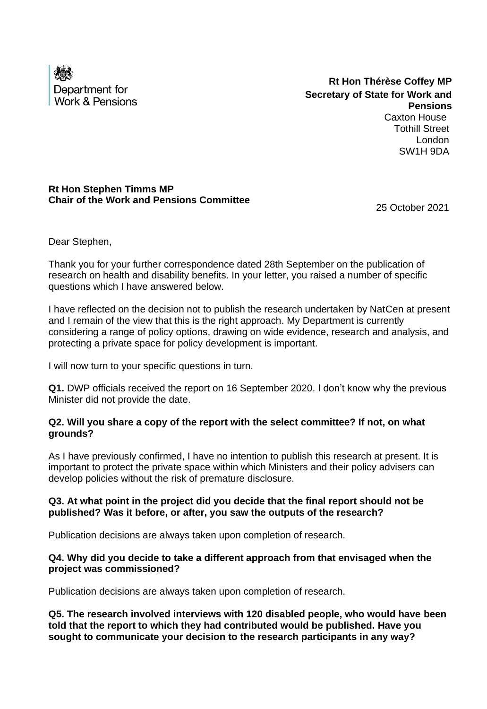

**Rt Hon Thérèse Coffey MP Secretary of State for Work and Pensions** Caxton House Tothill Street London

**Rt Hon Stephen Timms MP Chair of the Work and Pensions Committee** 

25 October 2021

SW1H 9DA

Dear Stephen,

Thank you for your further correspondence dated 28th September on the publication of research on health and disability benefits. In your letter, you raised a number of specific questions which I have answered below.

I have reflected on the decision not to publish the research undertaken by NatCen at present and I remain of the view that this is the right approach. My Department is currently considering a range of policy options, drawing on wide evidence, research and analysis, and protecting a private space for policy development is important.

I will now turn to your specific questions in turn.

**Q1.** DWP officials received the report on 16 September 2020. I don't know why the previous Minister did not provide the date.

## **Q2. Will you share a copy of the report with the select committee? If not, on what grounds?**

As I have previously confirmed, I have no intention to publish this research at present. It is important to protect the private space within which Ministers and their policy advisers can develop policies without the risk of premature disclosure.

## **Q3. At what point in the project did you decide that the final report should not be published? Was it before, or after, you saw the outputs of the research?**

Publication decisions are always taken upon completion of research.

## **Q4. Why did you decide to take a different approach from that envisaged when the project was commissioned?**

Publication decisions are always taken upon completion of research.

**Q5. The research involved interviews with 120 disabled people, who would have been told that the report to which they had contributed would be published. Have you sought to communicate your decision to the research participants in any way?**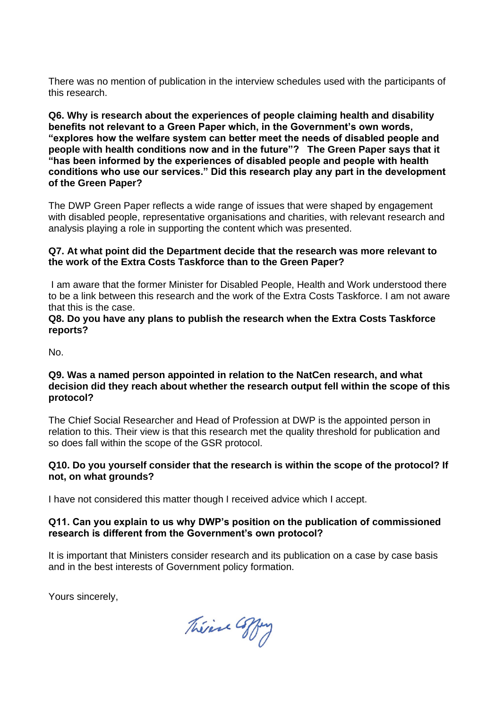There was no mention of publication in the interview schedules used with the participants of this research.

**Q6. Why is research about the experiences of people claiming health and disability benefits not relevant to a Green Paper which, in the Government's own words, "explores how the welfare system can better meet the needs of disabled people and people with health conditions now and in the future"? The Green Paper says that it "has been informed by the experiences of disabled people and people with health conditions who use our services." Did this research play any part in the development of the Green Paper?** 

The DWP Green Paper reflects a wide range of issues that were shaped by engagement with disabled people, representative organisations and charities, with relevant research and analysis playing a role in supporting the content which was presented.

#### **Q7. At what point did the Department decide that the research was more relevant to the work of the Extra Costs Taskforce than to the Green Paper?**

I am aware that the former Minister for Disabled People, Health and Work understood there to be a link between this research and the work of the Extra Costs Taskforce. I am not aware that this is the case.

#### **Q8. Do you have any plans to publish the research when the Extra Costs Taskforce reports?**

No.

#### **Q9. Was a named person appointed in relation to the NatCen research, and what decision did they reach about whether the research output fell within the scope of this protocol?**

The Chief Social Researcher and Head of Profession at DWP is the appointed person in relation to this. Their view is that this research met the quality threshold for publication and so does fall within the scope of the GSR protocol.

## **Q10. Do you yourself consider that the research is within the scope of the protocol? If not, on what grounds?**

I have not considered this matter though I received advice which I accept.

## **Q11. Can you explain to us why DWP's position on the publication of commissioned research is different from the Government's own protocol?**

It is important that Ministers consider research and its publication on a case by case basis and in the best interests of Government policy formation.

Théine Coffey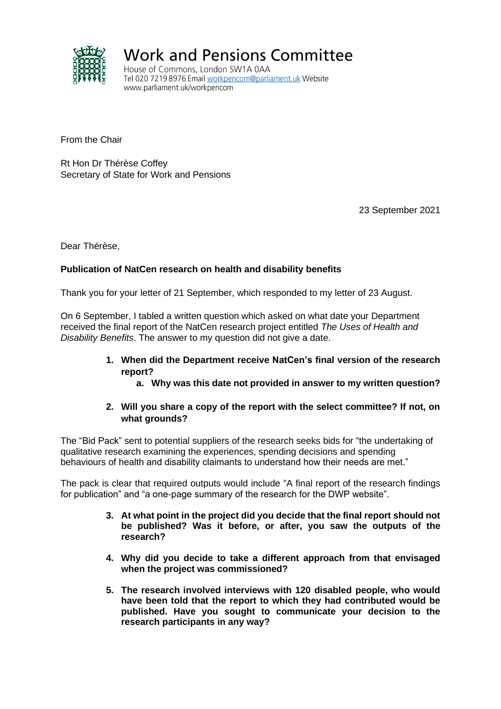

**Work and Pensions Committee** 

House of Commons, London SW1A 0AA Tel 020 7219 8976 Email workpencom@parliament.uk Website www.parliament.uk/workpencom

From the Chair

Rt Hon Dr Thérèse Coffey Secretary of State for Work and Pensions

23 September 2021

Dear Thérèse,

## **Publication of NatCen research on health and disability benefits**

Thank you for your letter of 21 September, which responded to my letter of 23 August.

On 6 September, I tabled a written question which asked on what date your Department received the final report of the NatCen research project entitled *The Uses of Health and Disability Benefits*. The answer to my question did not give a date.

- **1. When did the Department receive NatCen's final version of the research report?** 
	- **a. Why was this date not provided in answer to my written question?**

#### **2. Will you share a copy of the report with the select committee? If not, on what grounds?**

The "Bid Pack" sent to potential suppliers of the research seeks bids for "the undertaking of qualitative research examining the experiences, spending decisions and spending behaviours of health and disability claimants to understand how their needs are met."

The pack is clear that required outputs would include "A final report of the research findings for publication" and "a one-page summary of the research for the DWP website".

- **3. At what point in the project did you decide that the final report should not be published? Was it before, or after, you saw the outputs of the research?**
- **4. Why did you decide to take a different approach from that envisaged when the project was commissioned?**
- **5. The research involved interviews with 120 disabled people, who would have been told that the report to which they had contributed would be published. Have you sought to communicate your decision to the research participants in any way?**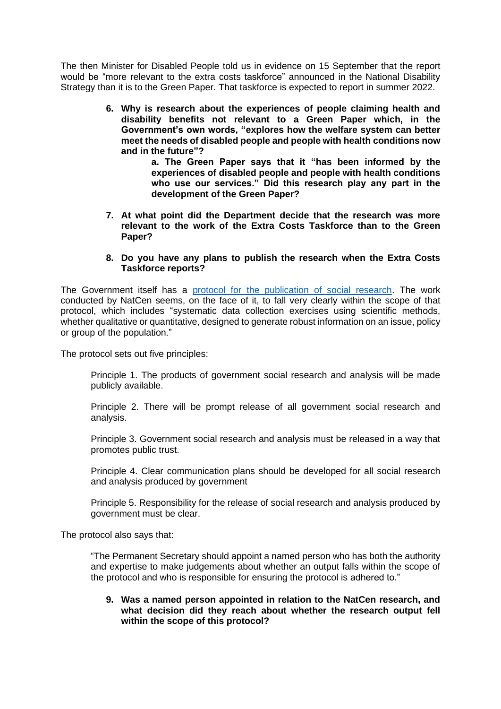The then Minister for Disabled People told us in evidence on 15 September that the report would be "more relevant to the extra costs taskforce" announced in the National Disability Strategy than it is to the Green Paper. That taskforce is expected to report in summer 2022.

> **6. Why is research about the experiences of people claiming health and disability benefits not relevant to a Green Paper which, in the Government's own words, "explores how the welfare system can better meet the needs of disabled people and people with health conditions now and in the future"?**

> > **a. The Green Paper says that it "has been informed by the experiences of disabled people and people with health conditions who use our services." Did this research play any part in the development of the Green Paper?**

**7. At what point did the Department decide that the research was more relevant to the work of the Extra Costs Taskforce than to the Green Paper?**

#### **8. Do you have any plans to publish the research when the Extra Costs Taskforce reports?**

The Government itself has a [protocol for the publication of social research.](https://assets.publishing.service.gov.uk/government/uploads/system/uploads/attachment_data/file/431367/GSR_publication_protocol_2015_FINAL.pdf) The work conducted by NatCen seems, on the face of it, to fall very clearly within the scope of that protocol, which includes "systematic data collection exercises using scientific methods, whether qualitative or quantitative, designed to generate robust information on an issue, policy or group of the population."

The protocol sets out five principles:

Principle 1. The products of government social research and analysis will be made publicly available.

Principle 2. There will be prompt release of all government social research and analysis.

Principle 3. Government social research and analysis must be released in a way that promotes public trust.

Principle 4. Clear communication plans should be developed for all social research and analysis produced by government

Principle 5. Responsibility for the release of social research and analysis produced by government must be clear.

The protocol also says that:

"The Permanent Secretary should appoint a named person who has both the authority and expertise to make judgements about whether an output falls within the scope of the protocol and who is responsible for ensuring the protocol is adhered to."

**9. Was a named person appointed in relation to the NatCen research, and what decision did they reach about whether the research output fell within the scope of this protocol?**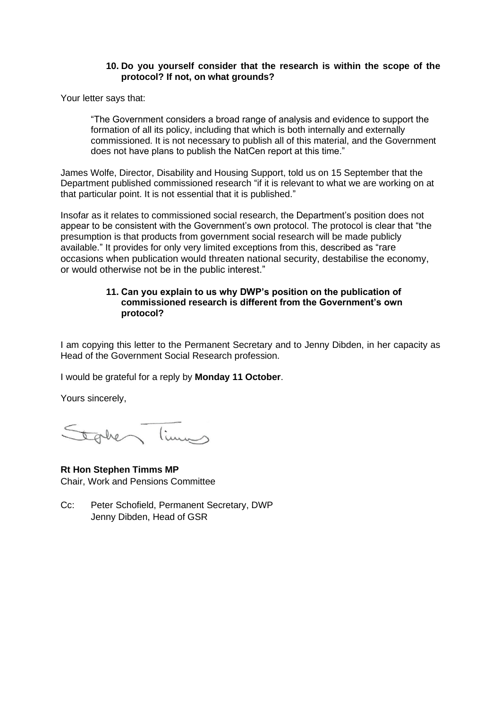#### **10. Do you yourself consider that the research is within the scope of the protocol? If not, on what grounds?**

Your letter says that:

"The Government considers a broad range of analysis and evidence to support the formation of all its policy, including that which is both internally and externally commissioned. It is not necessary to publish all of this material, and the Government does not have plans to publish the NatCen report at this time."

James Wolfe, Director, Disability and Housing Support, told us on 15 September that the Department published commissioned research "if it is relevant to what we are working on at that particular point. It is not essential that it is published."

Insofar as it relates to commissioned social research, the Department's position does not appear to be consistent with the Government's own protocol. The protocol is clear that "the presumption is that products from government social research will be made publicly available." It provides for only very limited exceptions from this, described as "rare occasions when publication would threaten national security, destabilise the economy, or would otherwise not be in the public interest."

#### **11. Can you explain to us why DWP's position on the publication of commissioned research is different from the Government's own protocol?**

I am copying this letter to the Permanent Secretary and to Jenny Dibden, in her capacity as Head of the Government Social Research profession.

I would be grateful for a reply by **Monday 11 October**.

Yours sincerely,

Stakes Times

**Rt Hon Stephen Timms MP** Chair, Work and Pensions Committee

Cc: Peter Schofield, Permanent Secretary, DWP Jenny Dibden, Head of GSR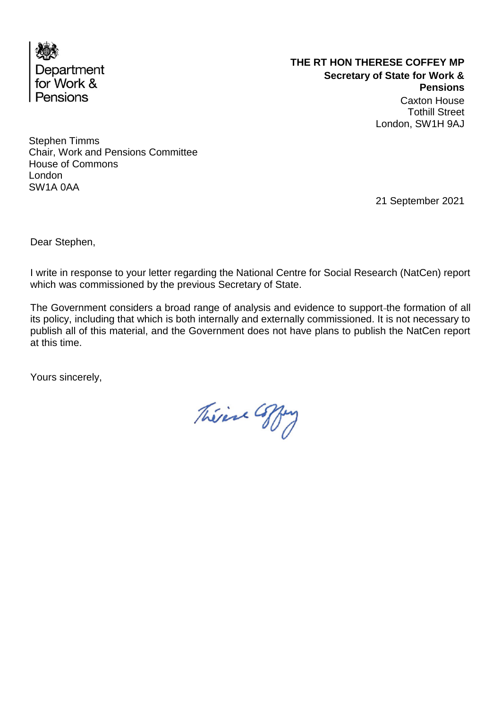

# **THE RT HON THERESE COFFEY MP Secretary of State for Work & Pensions** Caxton House Tothill Street London, SW1H 9AJ

Stephen Timms Chair, Work and Pensions Committee House of Commons London SW1A 0AA

21 September 2021

Dear Stephen,

I write in response to your letter regarding the National Centre for Social Research (NatCen) report which was commissioned by the previous Secretary of State.

The Government considers a broad range of analysis and evidence to support the formation of all its policy, including that which is both internally and externally commissioned. It is not necessary to publish all of this material, and the Government does not have plans to publish the NatCen report at this time.

Théine Coffey